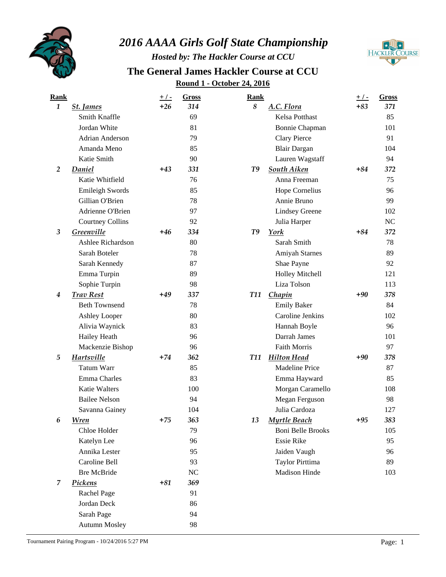

## *2016 AAAA Girls Golf State Championship*

*Hosted by: The Hackler Course at CCU*

**HACKLER COURSE** 

## **Round 1 - October 24, 2016 The General James Hackler Course at CCU**

| <b>Rank</b>    |                         | <u>+/-</u> | <b>Gross</b> | <b>Rank</b> |                          | $+/-$ | Gross |
|----------------|-------------------------|------------|--------------|-------------|--------------------------|-------|-------|
| $\mathbf{1}$   | <b>St. James</b>        | $+26$      | 314          | 8           | A.C. Flora               | $+83$ | 371   |
|                | Smith Knaffle           |            | 69           |             | Kelsa Potthast           |       | 85    |
|                | Jordan White            |            | 81           |             | Bonnie Chapman           |       | 101   |
|                | Adrian Anderson         |            | 79           |             | <b>Clary Pierce</b>      |       | 91    |
|                | Amanda Meno             |            | 85           |             | <b>Blair Dargan</b>      |       | 104   |
|                | Katie Smith             |            | 90           |             | Lauren Wagstaff          |       | 94    |
| $\overline{2}$ | Daniel                  | $+43$      | 331          | T9          | South Aiken              | $+84$ | 372   |
|                | Katie Whitfield         |            | 76           |             | Anna Freeman             |       | 75    |
|                | <b>Emileigh Swords</b>  |            | 85           |             | <b>Hope Cornelius</b>    |       | 96    |
|                | Gillian O'Brien         |            | 78           |             | Annie Bruno              |       | 99    |
|                | Adrienne O'Brien        |            | 97           |             | <b>Lindsey Greene</b>    |       | 102   |
|                | <b>Courtney Collins</b> |            | 92           |             | Julia Harper             |       | NC    |
| 3              | Greenville              | $+46$      | 334          | T9          | York                     | $+84$ | 372   |
|                | Ashlee Richardson       |            | 80           |             | Sarah Smith              |       | 78    |
|                | Sarah Boteler           |            | 78           |             | Amiyah Starnes           |       | 89    |
|                | Sarah Kennedy           |            | 87           |             | Shae Payne               |       | 92    |
|                | Emma Turpin             |            | 89           |             | <b>Holley Mitchell</b>   |       | 121   |
|                | Sophie Turpin           |            | 98           |             | Liza Tolson              |       | 113   |
| 4              | <b>Trav Rest</b>        | $+49$      | 337          | <b>T11</b>  | Chapin                   | $+90$ | 378   |
|                | <b>Beth Townsend</b>    |            | 78           |             | <b>Emily Baker</b>       |       | 84    |
|                | Ashley Looper           |            | 80           |             | Caroline Jenkins         |       | 102   |
|                | Alivia Waynick          |            | 83           |             | Hannah Boyle             |       | 96    |
|                | Hailey Heath            |            | 96           |             | Darrah James             |       | 101   |
|                | Mackenzie Bishop        |            | 96           |             | <b>Faith Morris</b>      |       | 97    |
| 5              | Hartsville              | $+74$      | 362          | <b>T11</b>  | <b>Hilton Head</b>       | $+90$ | 378   |
|                | <b>Tatum Warr</b>       |            | 85           |             | Madeline Price           |       | 87    |
|                | Emma Charles            |            | 83           |             | Emma Hayward             |       | 85    |
|                | <b>Katie Walters</b>    |            | 100          |             | Morgan Caramello         |       | 108   |
|                | <b>Bailee Nelson</b>    |            | 94           |             | Megan Ferguson           |       | 98    |
|                | Savanna Gainey          |            | 104          |             | Julia Cardoza            |       | 127   |
| 6              | <b>Wren</b>             | $+75$      | 363          | 13          | Myrtle Beach             | $+95$ | 383   |
|                | Chloe Holder            |            | 79           |             | <b>Boni Belle Brooks</b> |       | 105   |
|                | Katelyn Lee             |            | 96           |             | <b>Essie Rike</b>        |       | 95    |
|                | Annika Lester           |            | 95           |             | Jaiden Vaugh             |       | 96    |
|                | Caroline Bell           |            | 93           |             | <b>Taylor Pirttima</b>   |       | 89    |
|                | <b>Bre McBride</b>      |            | $\rm NC$     |             | Madison Hinde            |       | 103   |
| 7              | Pickens                 | $+81$      | 369          |             |                          |       |       |
|                | Rachel Page             |            | 91           |             |                          |       |       |
|                | Jordan Deck             |            | 86           |             |                          |       |       |
|                | Sarah Page              |            | 94           |             |                          |       |       |
|                | <b>Autumn Mosley</b>    |            | 98           |             |                          |       |       |